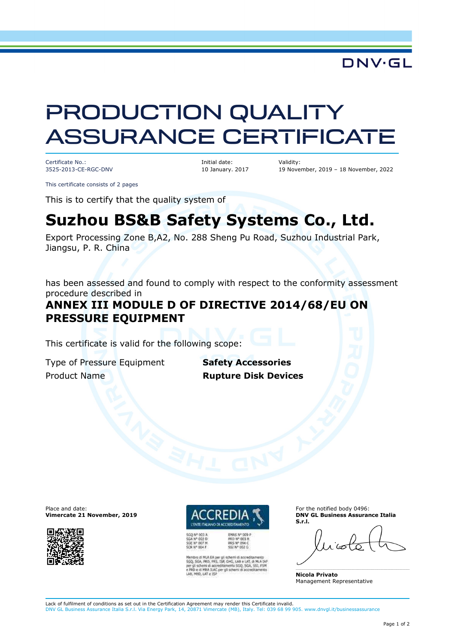## DNV·GL

# PRODUCTION QUALITY ASSURANCE CERTIFICATE

Certificate No.: 3525-2013-CE-RGC-DNV Initial date: 10 January. 2017 Validity: 19 November, 2019 – 18 November, 2022

This certificate consists of 2 pages

This is to certify that the quality system of

# **Suzhou BS&B Safety Systems Co., Ltd.**

Export Processing Zone B,A2, No. 288 Sheng Pu Road, Suzhou Industrial Park, Jiangsu, P. R. China

has been assessed and found to comply with respect to the conformity assessment procedure described in

### **ANNEX III MODULE D OF DIRECTIVE 2014/68/EU ON PRESSURE EQUIPMENT**

This certificate is valid for the following scope:

Type of Pressure Equipment **Safety Accessories** Product Name **Rupture Disk Devices**

Place and date: **Vimercate 21 November, 2019**



PRD Nº 003 B<br>PRS Nº 004 C<br>SSI Nº 002 G

PRS, ISP, GHG, LAB e LAT, di MLA LAP<br>accreditionento SGQ, SGA, SS1, FSM of schemi di accred

For the notified body 0496: **DNV GL Business Assurance Italia S.r.l.** 

**Nicola Privato**  Management Representative

Lack of fulfilment of conditions as set out in the Certification Agreement may render this Certificate invalid. DNV GL Business Assurance Italia S.r.l. Via Energy Park, 14, 20871 Vimercate (MB), Italy. Tel: 039 68 99 905. www.dnvgl.it/businessassurance